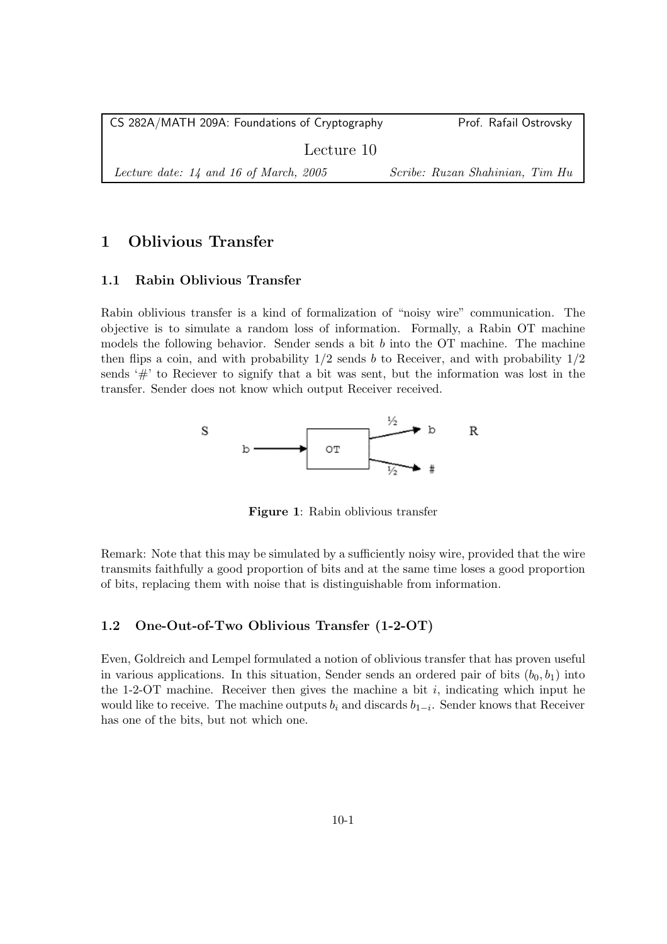| CS 282A/MATH 209A: Foundations of Cryptography | Prof. Rafail Ostrovsky          |
|------------------------------------------------|---------------------------------|
| Lecture 10                                     |                                 |
| Lecture date: $14$ and 16 of March, 2005       | Scribe: Ruzan Shahinian, Tim Hu |

# 1 Oblivious Transfer

## 1.1 Rabin Oblivious Transfer

Rabin oblivious transfer is a kind of formalization of "noisy wire" communication. The objective is to simulate a random loss of information. Formally, a Rabin OT machine models the following behavior. Sender sends a bit  $b$  into the OT machine. The machine then flips a coin, and with probability  $1/2$  sends b to Receiver, and with probability  $1/2$ sends  $#$  to Reciever to signify that a bit was sent, but the information was lost in the transfer. Sender does not know which output Receiver received.



Figure 1: Rabin oblivious transfer

Remark: Note that this may be simulated by a sufficiently noisy wire, provided that the wire transmits faithfully a good proportion of bits and at the same time loses a good proportion of bits, replacing them with noise that is distinguishable from information.

## 1.2 One-Out-of-Two Oblivious Transfer (1-2-OT)

Even, Goldreich and Lempel formulated a notion of oblivious transfer that has proven useful in various applications. In this situation, Sender sends an ordered pair of bits  $(b_0, b_1)$  into the 1-2-OT machine. Receiver then gives the machine a bit  $i$ , indicating which input he would like to receive. The machine outputs  $b_i$  and discards  $b_{1-i}$ . Sender knows that Receiver has one of the bits, but not which one.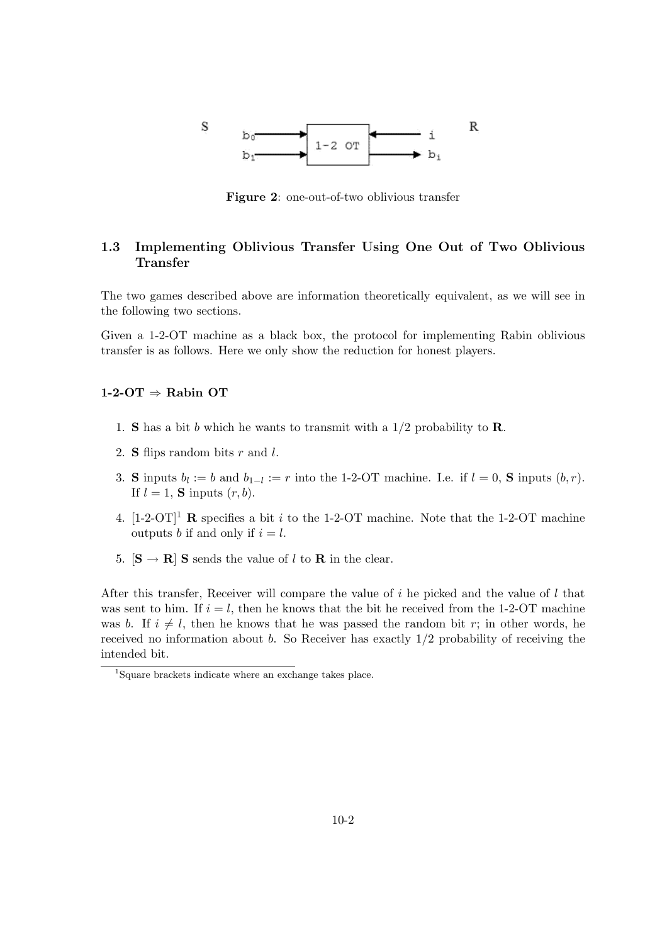

Figure 2: one-out-of-two oblivious transfer

# 1.3 Implementing Oblivious Transfer Using One Out of Two Oblivious Transfer

The two games described above are information theoretically equivalent, as we will see in the following two sections.

Given a 1-2-OT machine as a black box, the protocol for implementing Rabin oblivious transfer is as follows. Here we only show the reduction for honest players.

#### $1-2-OT \Rightarrow$  Rabin OT

- 1. **S** has a bit b which he wants to transmit with a  $1/2$  probability to **R**.
- 2. **S** flips random bits  $r$  and  $l$ .
- 3. S inputs  $b_l := b$  and  $b_{1-l} := r$  into the 1-2-OT machine. I.e. if  $l = 0$ , S inputs  $(b, r)$ . If  $l = 1$ , **S** inputs  $(r, b)$ .
- 4.  $[1-2-OT]^1$  R specifies a bit i to the 1-2-OT machine. Note that the 1-2-OT machine outputs b if and only if  $i = l$ .
- 5.  $[\mathbf{S} \to \mathbf{R}]$  S sends the value of l to  $\mathbf{R}$  in the clear.

After this transfer, Receiver will compare the value of i he picked and the value of l that was sent to him. If  $i = l$ , then he knows that the bit he received from the 1-2-OT machine was b. If  $i \neq l$ , then he knows that he was passed the random bit r; in other words, he received no information about  $b$ . So Receiver has exactly  $1/2$  probability of receiving the intended bit.

<sup>1</sup> Square brackets indicate where an exchange takes place.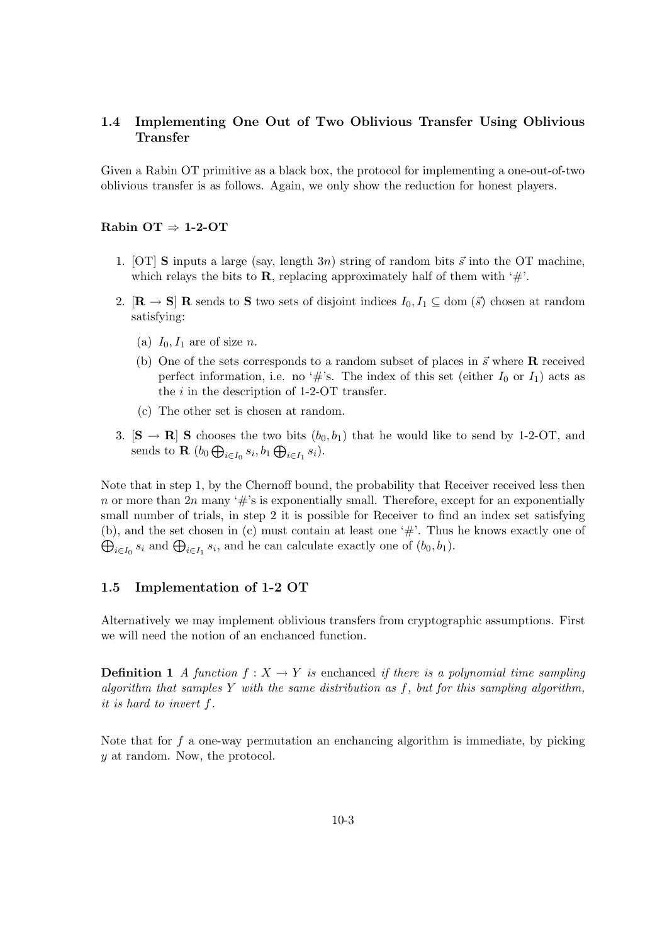# 1.4 Implementing One Out of Two Oblivious Transfer Using Oblivious Transfer

Given a Rabin OT primitive as a black box, the protocol for implementing a one-out-of-two oblivious transfer is as follows. Again, we only show the reduction for honest players.

## Rabin OT  $\Rightarrow$  1-2-OT

- 1. [OT] S inputs a large (say, length 3n) string of random bits  $\vec{s}$  into the OT machine, which relays the bits to **R**, replacing approximately half of them with ' $\#$ '.
- 2.  $[\mathbf{R} \to \mathbf{S}]$  **R** sends to **S** two sets of disjoint indices  $I_0, I_1 \subseteq \text{dom}(\vec{s})$  chosen at random satisfying:
	- (a)  $I_0$ ,  $I_1$  are of size *n*.
	- (b) One of the sets corresponds to a random subset of places in  $\vec{s}$  where **R** received perfect information, i.e. no '#'s. The index of this set (either  $I_0$  or  $I_1$ ) acts as the  $i$  in the description of 1-2-OT transfer.
	- (c) The other set is chosen at random.
- 3.  $[\mathbf{S} \to \mathbf{R}]$  S chooses the two bits  $(b_0, b_1)$  that he would like to send by 1-2-OT, and sends to **R**  $(b_0 \bigoplus_{i \in I_0} s_i, b_1 \bigoplus_{i \in I_1} s_i)$ .

Note that in step 1, by the Chernoff bound, the probability that Receiver received less then n or more than  $2n$  many '#'s is exponentially small. Therefore, except for an exponentially small number of trials, in step 2 it is possible for Receiver to find an index set satisfying (b), and the set chosen in (c) must contain at least one '#'. Th us he knows exactly one of  $\bigoplus_{i\in I_0} s_i$  and  $\bigoplus_{i\in I_1} s_i$ , and he can calculate exactly one of  $(b_0, b_1)$ .

#### 1.5 Implementation of 1-2 OT

Alternatively we may implement oblivious transfers from cryptographic assumptions. First we will need the notion of an enchanced function.

**Definition 1** A function  $f: X \to Y$  is enchanced if there is a polynomial time sampling algorithm that samples Y with the same distribution as  $f$ , but for this sampling algorithm, it is hard to invert f.

Note that for  $f$  a one-way permutation an enchancing algorithm is immediate, by picking y at random. Now, the protocol.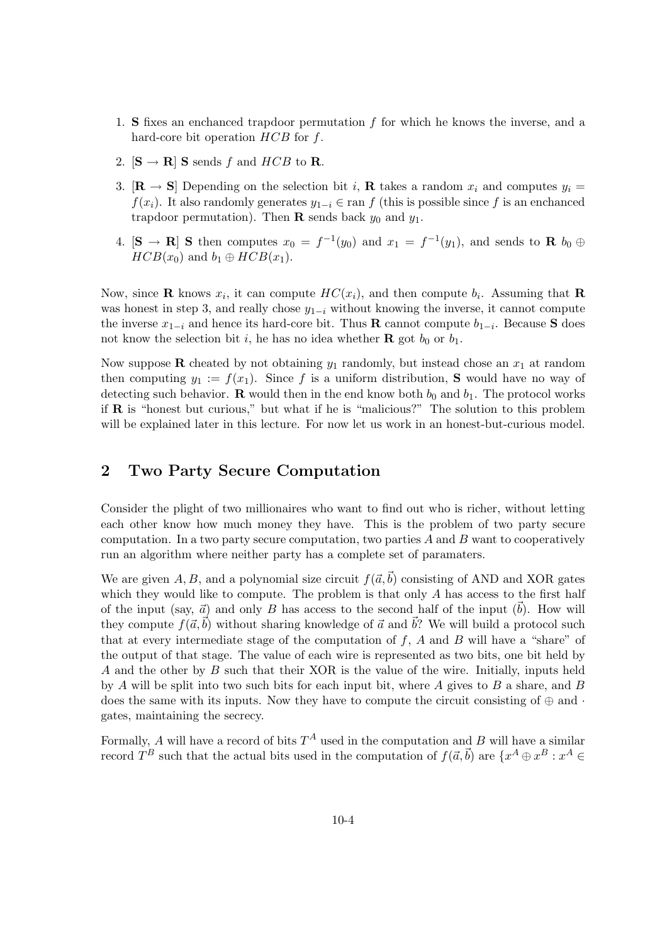- 1. S fixes an enchanced trapdoor permutation f for which he knows the inverse, and a hard-core bit operation  $HCB$  for f.
- 2.  $[\mathbf{S} \rightarrow \mathbf{R}]$  S sends f and HCB to R.
- 3.  $[\mathbf{R} \to \mathbf{S}]$  Depending on the selection bit i, **R** takes a random  $x_i$  and computes  $y_i =$  $f(x_i)$ . It also randomly generates  $y_{1-i} \in \text{ran } f$  (this is possible since f is an enchanced trapdoor permutation). Then **R** sends back  $y_0$  and  $y_1$ .
- 4.  $[\mathbf{S} \to \mathbf{R}]$  S then computes  $x_0 = f^{-1}(y_0)$  and  $x_1 = f^{-1}(y_1)$ , and sends to  $\mathbf{R}$   $b_0 \oplus$  $HCB(x_0)$  and  $b_1 \oplus HCB(x_1)$ .

Now, since **R** knows  $x_i$ , it can compute  $HC(x_i)$ , and then compute  $b_i$ . Assuming that **R** was honest in step 3, and really chose  $y_{1-i}$  without knowing the inverse, it cannot compute the inverse  $x_{1-i}$  and hence its hard-core bit. Thus R cannot compute  $b_{1-i}$ . Because S does not know the selection bit i, he has no idea whether **R** got  $b_0$  or  $b_1$ .

Now suppose **R** cheated by not obtaining  $y_1$  randomly, but instead chose an  $x_1$  at random then computing  $y_1 := f(x_1)$ . Since f is a uniform distribution, **S** would have no way of detecting such behavior. **R** would then in the end know both  $b_0$  and  $b_1$ . The protocol works if R is "honest but curious," but what if he is "malicious?" The solution to this problem will be explained later in this lecture. For now let us work in an honest-but-curious model.

# 2 Two Party Secure Computation

Consider the plight of two millionaires who want to find out who is richer, without letting each other know how much money they have. This is the problem of two party secure computation. In a two party secure computation, two parties  $A$  and  $B$  want to cooperatively run an algorithm where neither party has a complete set of paramaters.

We are given A, B, and a polynomial size circuit  $f(\vec{a}, \vec{b})$  consisting of AND and XOR gates which they would like to compute. The problem is that only A has access to the first half of the input (say,  $\vec{a}$ ) and only B has access to the second half of the input (b). How will they compute  $f(\vec{a}, \vec{b})$  without sharing knowledge of  $\vec{a}$  and  $\vec{b}$ ? We will build a protocol such that at every intermediate stage of the computation of  $f$ ,  $A$  and  $B$  will have a "share" of the output of that stage. The value of each wire is represented as two bits, one bit held by A and the other by B such that their XOR is the value of the wire. Initially, inputs held by A will be split into two such bits for each input bit, where A gives to B a share, and B does the same with its inputs. Now they have to compute the circuit consisting of  $oplus$  and  $\cdot$ gates, maintaining the secrecy.

Formally, A will have a record of bits  $T^A$  used in the computation and B will have a similar record  $T^B$  such that the actual bits used in the computation of  $f(\vec{a}, \vec{b})$  are  $\{x^A \oplus x^B : x^A \in$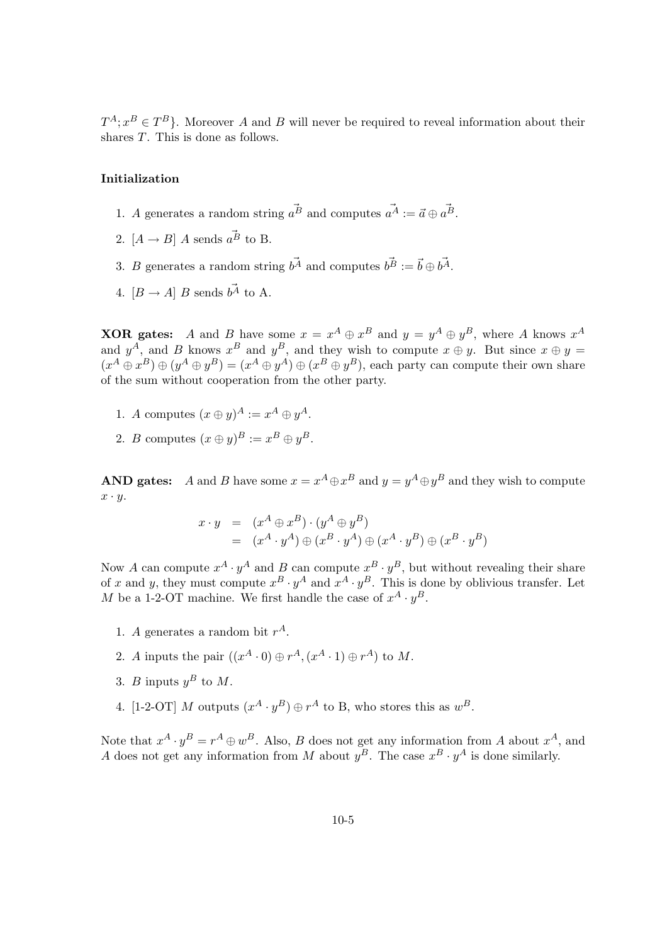$T^A$ ;  $x^B \in T^B$ . Moreover A and B will never be required to reveal information about their shares T. This is done as follows.

## Initialization

- 1. A generates a random string  $\vec{a}^B$  and computes  $\vec{a}^A := \vec{a} \oplus \vec{a}^B$ .
- 2.  $[A \rightarrow B] A$  sends  $\vec{a}^{\vec{B}}$  to B.
- 3. B generates a random string  $b^{\vec{A}}$  and computes  $b^{\vec{B}} := \vec{b} \oplus b^{\vec{A}}$ .
- 4.  $[B \rightarrow A] B$  sends  $b^{\vec{A}}$  to A.

**XOR** gates: A and B have some  $x = x^A \oplus x^B$  and  $y = y^A \oplus y^B$ , where A knows  $x^A$ and  $y^A$ , and B knows  $x^B$  and  $y^B$ , and they wish to compute  $x \oplus y$ . But since  $x \oplus y =$  $(x^A \oplus x^B) \oplus (y^A \oplus y^B) = (x^A \oplus y^A) \oplus (x^B \oplus y^B)$ , each party can compute their own share of the sum without cooperation from the other party.

- 1. A computes  $(x \oplus y)^A := x^A \oplus y^A$ .
- 2. B computes  $(x \oplus y)^B := x^B \oplus y^B$ .

AND gates: A and B have some  $x = x^A \oplus x^B$  and  $y = y^A \oplus y^B$  and they wish to compute  $x \cdot y$ .

$$
x \cdot y = (x^{A} \oplus x^{B}) \cdot (y^{A} \oplus y^{B})
$$
  
=  $(x^{A} \cdot y^{A}) \oplus (x^{B} \cdot y^{A}) \oplus (x^{A} \cdot y^{B}) \oplus (x^{B} \cdot y^{B})$ 

Now A can compute  $x^A \cdot y^A$  and B can compute  $x^B \cdot y^B$ , but without revealing their share of x and y, they must compute  $x^B \cdot y^A$  and  $x^A \cdot y^B$ . This is done by oblivious transfer. Let M be a 1-2-OT machine. We first handle the case of  $x^A \cdot y^B$ .

- 1. A generates a random bit  $r^A$ .
- 2. A inputs the pair  $((x^A \cdot 0) \oplus r^A, (x^A \cdot 1) \oplus r^A)$  to M.
- 3. *B* inputs  $y^B$  to *M*.
- 4. [1-2-OT] M outputs  $(x^A \cdot y^B) \oplus r^A$  to B, who stores this as  $w^B$ .

Note that  $x^A \cdot y^B = r^A \oplus w^B$ . Also, B does not get any information from A about  $x^A$ , and A does not get any information from M about  $y^B$ . The case  $x^B \cdot y^A$  is done similarly.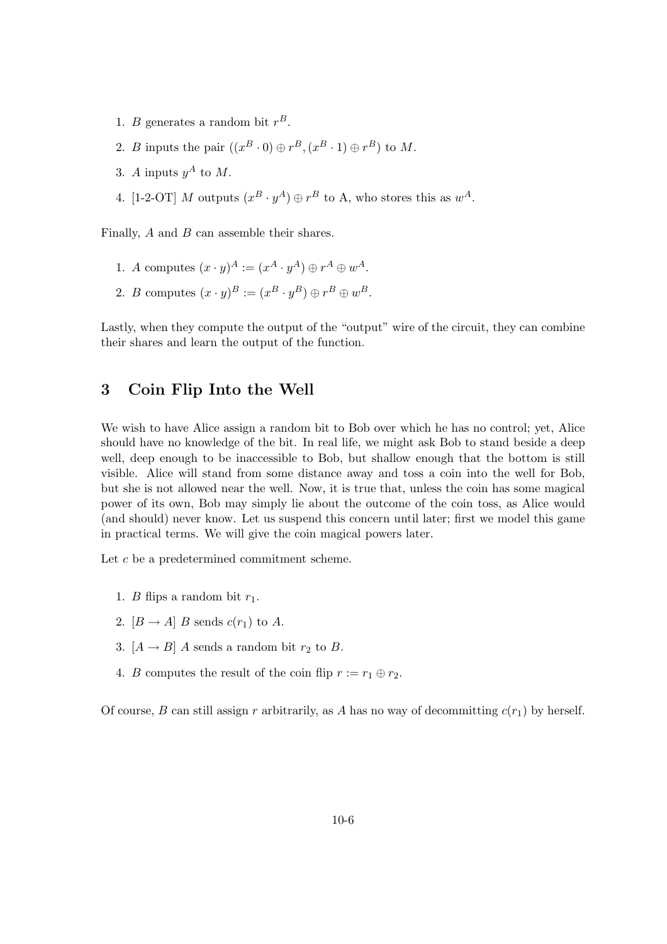- 1. *B* generates a random bit  $r^B$ .
- 2. B inputs the pair  $((x^B \cdot 0) \oplus r^B, (x^B \cdot 1) \oplus r^B)$  to M.
- 3. A inputs  $y^A$  to M.
- 4. [1-2-OT] M outputs  $(x^B \cdot y^A) \oplus r^B$  to A, who stores this as  $w^A$ .

Finally, A and B can assemble their shares.

- 1. A computes  $(x \cdot y)^A := (x^A \cdot y^A) \oplus r^A \oplus w^A$ .
- 2. B computes  $(x \cdot y)^B := (x^B \cdot y^B) \oplus r^B \oplus w^B$ .

Lastly, when they compute the output of the "output" wire of the circuit, they can combine their shares and learn the output of the function.

# 3 Coin Flip Into the Well

We wish to have Alice assign a random bit to Bob over which he has no control; yet, Alice should have no knowledge of the bit. In real life, we might ask Bob to stand beside a deep well, deep enough to be inaccessible to Bob, but shallow enough that the bottom is still visible. Alice will stand from some distance away and toss a coin into the well for Bob, but she is not allowed near the well. Now, it is true that, unless the coin has some magical power of its own, Bob may simply lie about the outcome of the coin toss, as Alice would (and should) never know. Let us suspend this concern until later; first we model this game in practical terms. We will give the coin magical powers later.

Let c be a predetermined commitment scheme.

- 1. *B* flips a random bit  $r_1$ .
- 2.  $[B \rightarrow A]$  B sends  $c(r_1)$  to A.
- 3.  $[A \rightarrow B]$  A sends a random bit  $r_2$  to B.
- 4. B computes the result of the coin flip  $r := r_1 \oplus r_2$ .

Of course, B can still assign r arbitrarily, as A has no way of decommitting  $c(r_1)$  by herself.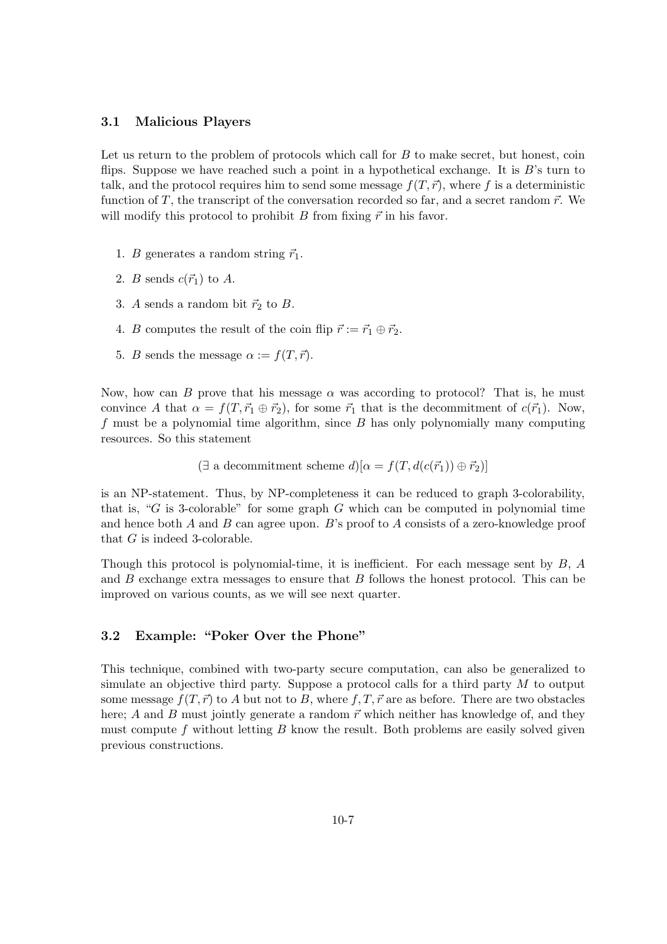#### 3.1 Malicious Players

Let us return to the problem of protocols which call for  $B$  to make secret, but honest, coin flips. Suppose we have reached such a point in a hypothetical exchange. It is  $B$ 's turn to talk, and the protocol requires him to send some message  $f(T, \vec{r})$ , where f is a deterministic function of T, the transcript of the conversation recorded so far, and a secret random  $\vec{r}$ . We will modify this protocol to prohibit B from fixing  $\vec{r}$  in his favor.

- 1. B generates a random string  $\vec{r}_1$ .
- 2. B sends  $c(\vec{r}_1)$  to A.
- 3. A sends a random bit  $\vec{r}_2$  to B.
- 4. B computes the result of the coin flip  $\vec{r} := \vec{r}_1 \oplus \vec{r}_2$ .
- 5. B sends the message  $\alpha := f(T, \vec{r}).$

Now, how can B prove that his message  $\alpha$  was according to protocol? That is, he must convince A that  $\alpha = f(T, \vec{r}_1 \oplus \vec{r}_2)$ , for some  $\vec{r}_1$  that is the decommitment of  $c(\vec{r}_1)$ . Now,  $f$  must be a polynomial time algorithm, since  $B$  has only polynomially many computing resources. So this statement

 $(\exists$  a decommitment scheme  $d)[\alpha = f(T, d(c(\vec{r}_1)) \oplus \vec{r}_2)]$ 

is an NP-statement. Thus, by NP-completeness it can be reduced to graph 3-colorability, that is, " $G$  is 3-colorable" for some graph  $G$  which can be computed in polynomial time and hence both  $A$  and  $B$  can agree upon.  $B$ 's proof to  $A$  consists of a zero-knowledge proof that G is indeed 3-colorable.

Though this protocol is polynomial-time, it is inefficient. For each message sent by  $B, A$ and B exchange extra messages to ensure that B follows the honest protocol. This can be improved on various counts, as we will see next quarter.

## 3.2 Example: "Poker Over the Phone"

This technique, combined with two-party secure computation, can also be generalized to simulate an objective third party. Suppose a protocol calls for a third party  $M$  to output some message  $f(T, \vec{r})$  to A but not to B, where f, T,  $\vec{r}$  are as before. There are two obstacles here; A and B must jointly generate a random  $\vec{r}$  which neither has knowledge of, and they must compute f without letting  $B$  know the result. Both problems are easily solved given previous constructions.